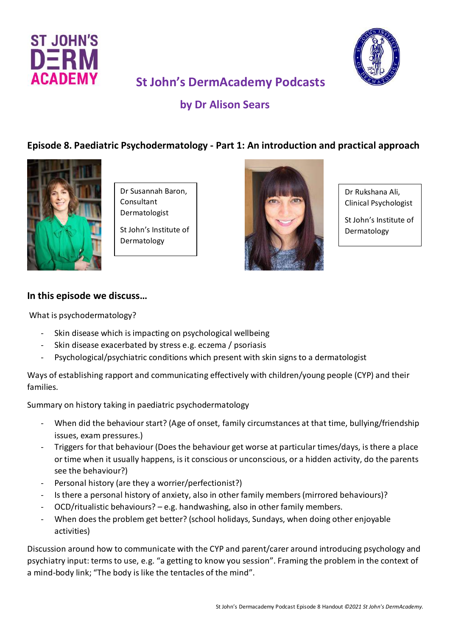



# **St John's DermAcademy Podcasts**

## **by Dr Alison Sears**

### **Episode 8. Paediatric Psychodermatology - Part 1: An introduction and practical approach**



Dr Susannah Baron, Consultant Dermatologist

St John's Institute of Dermatology



Dr Rukshana Ali, Clinical Psychologist

St John's Institute of Dermatology

#### **In this episode we discuss…**

What is psychodermatology?

- Skin disease which is impacting on psychological wellbeing
- Skin disease exacerbated by stress e.g. eczema / psoriasis
- Psychological/psychiatric conditions which present with skin signs to a dermatologist

Ways of establishing rapport and communicating effectively with children/young people (CYP) and their families.

Summary on history taking in paediatric psychodermatology

- When did the behaviour start? (Age of onset, family circumstances at that time, bullying/friendship issues, exam pressures.)
- Triggers for that behaviour (Does the behaviour get worse at particular times/days, is there a place or time when it usually happens, is it conscious or unconscious, or a hidden activity, do the parents see the behaviour?)
- Personal history (are they a worrier/perfectionist?)
- Is there a personal history of anxiety, also in other family members (mirrored behaviours)?
- OCD/ritualistic behaviours? e.g. handwashing, also in other family members.
- When does the problem get better? (school holidays, Sundays, when doing other enjoyable activities)

Discussion around how to communicate with the CYP and parent/carer around introducing psychology and psychiatry input: terms to use, e.g. "a getting to know you session". Framing the problem in the context of a mind-body link; "The body is like the tentacles of the mind".